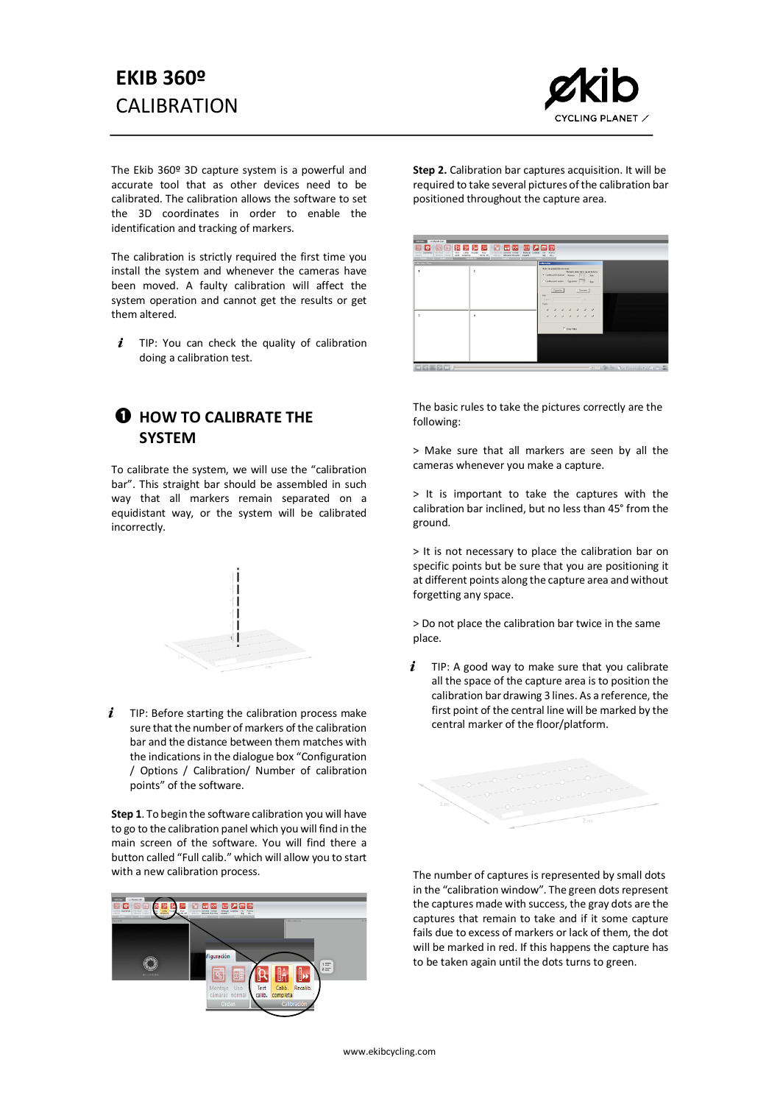## **EKIB 360º CALIBRATION**



The Ekib 360º 3D capture system is a powerful and accurate tool that as other devices need to be calibrated. The calibration allows the software to set the 3D coordinates in order to enable the identification and tracking of markers.

The calibration is strictly required the first time you install the system and whenever the cameras have been moved. A faulty calibration will affect the system operation and cannot get the results or get them altered.

 $i$  TIP: You can check the quality of calibration doing a calibration test.

## **Q** HOW TO CALIBRATE THE **SYSTEM**

To calibrate the system, we will use the "calibration bar". This straight bar should be assembled in such way that all markers remain separated on a equidistant way, or the system will be calibrated incorrectly.



 $i$  TIP: Before starting the calibration process make sure that the number of markers of the calibration bar and the distance between them matches with the indications in the dialogue box "Configuration / Options / Calibration/ Number of calibration points" of the software.

**Step 1**. To begin the software calibration you will have to go to the calibration panel which you will find in the main screen of the software. You will find there a button called "Full calib." which will allow you to start with a new calibration process.



**Step 2.** Calibration bar captures acquisition. It will be required to take several pictures of the calibration bar positioned throughout the capture area.

| <b><i><u>AMERICAN COMMISSION</u></i></b> | Andre   Orien   California | there are a swing | Coldenotin                                                      |               |               |                                    |      |  |  |  |
|------------------------------------------|----------------------------|-------------------|-----------------------------------------------------------------|---------------|---------------|------------------------------------|------|--|--|--|
|                                          | $\overline{z}$             |                   | Mode de adoptición deternar<br>6 Definationmal Perex [1-2] Sec. |               |               | Fotasto antec de la siguiente tora |      |  |  |  |
|                                          |                            |                   | C Definationalm Spieler [119]                                   |               |               |                                    | Sec. |  |  |  |
|                                          |                            |                   | <b>Viv</b>                                                      | <b>Sparts</b> |               | Carola                             |      |  |  |  |
|                                          |                            |                   | Firm I<br>Paus                                                  |               |               | The Company of the Company of the  |      |  |  |  |
|                                          |                            |                   |                                                                 |               |               |                                    |      |  |  |  |
|                                          | ٠                          |                   |                                                                 |               |               |                                    |      |  |  |  |
|                                          |                            |                   |                                                                 |               | F linep Video |                                    |      |  |  |  |
|                                          |                            |                   |                                                                 |               |               |                                    |      |  |  |  |
|                                          |                            |                   |                                                                 |               |               |                                    |      |  |  |  |

The basic rules to take the pictures correctly are the following:

> Make sure that all markers are seen by all the cameras whenever you make a capture.

> It is important to take the captures with the calibration bar inclined, but no less than 45° from the ground.

> It is not necessary to place the calibration bar on specific points but be sure that you are positioning it at different points along the capture area and without forgetting any space.

> Do not place the calibration bar twice in the same place.

 $\mathbf{i}$ TIP: A good way to make sure that you calibrate all the space of the capture area is to position the calibration bar drawing 3 lines. As a reference, the first point of the central line will be marked by the central marker of the floor/platform.



The number of captures is represented by small dots in the "calibration window". The green dots represent the captures made with success, the gray dots are the captures that remain to take and if it some capture fails due to excess of markers or lack of them, the dot will be marked in red. If this happens the capture has to be taken again until the dots turns to green.